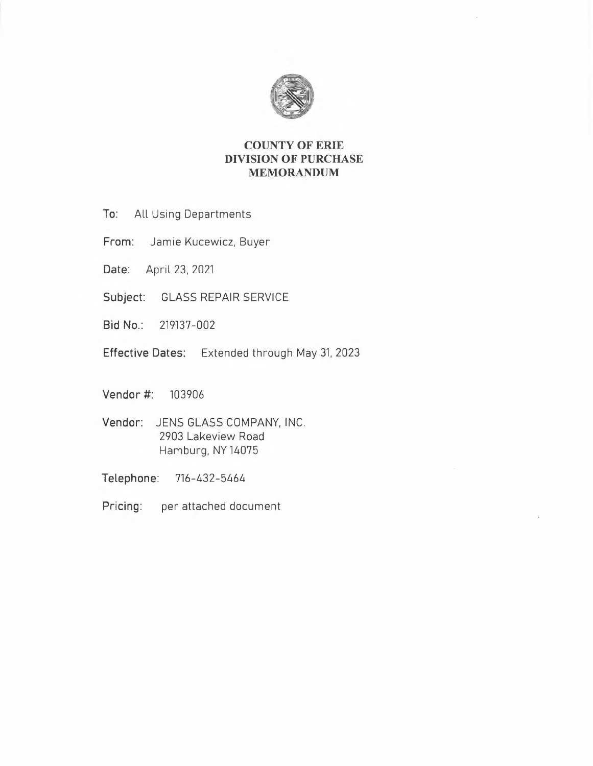

# **COUNTY OF ERIE DIVISION OF PURCHASE MEMORANDUM**

- **To:** All Using Departments
- **From:** Jamie Kucewicz, Buyer
- **Date:** April 23, 2021
- **Subject:** GLASS REPAIR SERVICE
- **Bid No.:** 219137-002
- **Effective Dates:** Extended through May 31. 2023
- **Vendor** #: 103906
- **Vendor:** JENS GLASS COMPANY, INC. 2903 Lakeview Road Hamburg, NY 14075
- **Telephone:** 716-432-5464
- **Pricing:** per attached document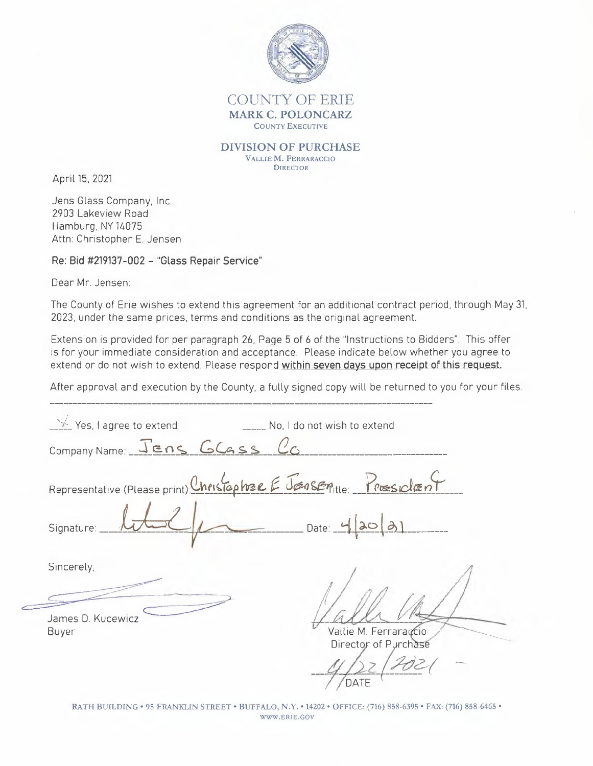

## COUNTY OF ERIE **MARK C. POLONCARZ**  COUNTY EXECUTIVE

### **DIVISION OF PURCHASE**  V ALLIE **M.** FERRARACCIO

**DIRECTOR** 

April 15, 2021

Jens Glass Company, Inc. 2903 Lakeview Road Hamburg, NY 14075 Attn: Christopher E. Jensen

**Re: Bid #219137-002 - "Glass Repair Service"** 

Dear Mr. Jensen:

The County of Erie wishes to extend this agreement for an additional contract period, through May 31, 2023, under the same prices, terms and conditions as the original agreement.

Extension is provided for per paragraph 26, Page 5 of 6 of the "Instructions to Bidders". This offer is for your immediate consideration and acceptance. Please indicate below whether you agree to extend or do not wish to extend. Please respond **within seven days upon receipt of this request.** 

After approval and execution by the County, a fully signed copy will be returned to you for your files.

|       | $\frac{1}{2}$ Yes, I agree to extend                               | No, I do not wish to extend                   |
|-------|--------------------------------------------------------------------|-----------------------------------------------|
|       | Company Name: JEns GCGSS CO                                        |                                               |
|       | Representative (Please print) Christopher E Jensentile: Proesident |                                               |
|       | Signature:                                                         | Date: $\overline{\phantom{a}}$<br> 30         |
|       | Sincerely,                                                         |                                               |
|       |                                                                    |                                               |
| Buyer | James D. Kucewicz                                                  | Vallie M. Ferraraçcio<br>Director of Purchase |
|       |                                                                    | DATE                                          |

**RATH BUILDING• 95 FRANKLIN STREET• BUFFALO, N.Y. • 14202 • OFFICE: (716) 858-6395 • FAX: (716) 858-6465 • WWW.ERIE.GOV**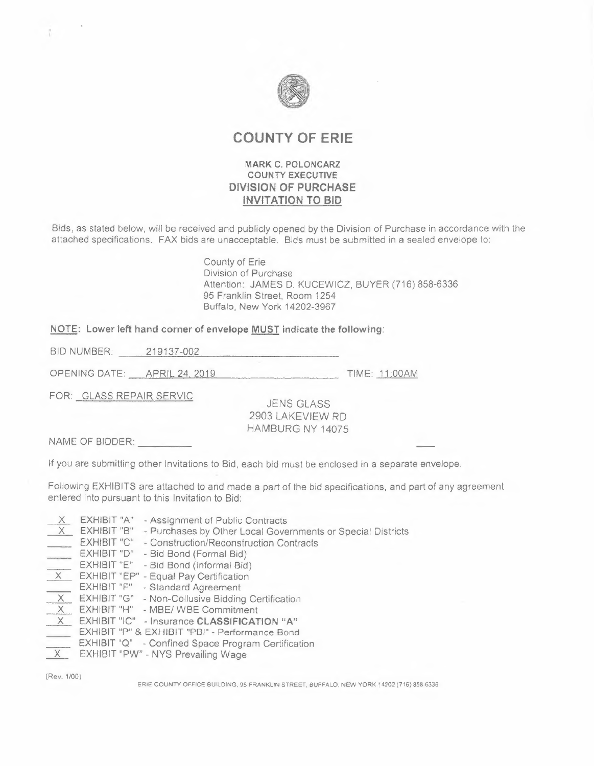

# **COUNTY OF ERIE**

## **MARK C. POLONCARZ COUNTY EXECUTIVE DIVISION OF PURCHASE INVITATION TO BID**

Bids, as stated below, will be received and publicly opened by the Division of Purchase in accordance with the attached specifications. FAX bids are unacceptable. Bids must be submitted in a sealed envelope to:

> County of Erie Division of Purchase Attention: JAMES D. KUCEWICZ, BUYER (716) 858-6336 95 Franklin Street, Room 1254 Buffalo, New York 14202-3967

# **NOTE: Lower left hand corner of envelope <u>MUST</u> indicate the following:**<br>BID NUMBER: \_\_\_\_\_\_219137-002

OPEN ING DATE: --'A-'-'P R---"--' IL~2c...c4~20~1~9 \_ TIME: 11 :00AM

FOR: GLASS REPAIR SERVIC

JENS GLASS 2903 LAKEVIEW RD HAMBURG NY 14075

NAME OF BIDDER: \_

If you are submitting other Invitations to Bid, each bid must be enclosed in a separate envelope.

Following EXHIBITS are attached to and made a part of the bid specifications, and part of any agreement entered into pursuant to this Invitation to Bid:

| $\overline{X}$ | EXHIBIT "A" | - Assignment of Public Contracts                            |
|----------------|-------------|-------------------------------------------------------------|
| $\overline{X}$ | EXHIBIT "B" | - Purchases by Other Local Governments or Special Districts |
| $\frac{1}{2}$  | EXHIBIT "C" | - Construction/Reconstruction Contracts                     |
|                | EXHIBIT "D" | - Bid Bond (Formal Bid)                                     |
|                | EXHIBIT "E" | - Bid Bond (informal Bid)                                   |
| $\overline{X}$ |             | EXHIBIT "EP" - Equal Pay Certification                      |
|                | EXHIBIT "F" | - Standard Agreement                                        |
| $\overline{x}$ | EXHIBIT "G" | - Non-Collusive Bidding Certification                       |
| X              | EXHIBIT "H" | - MBE/ WBE Commitment                                       |
| X              |             | EXHIBIT "IC" - Insurance CLASSIFICATION "A"                 |
|                |             | EXHIBIT "P" & EXHIBIT "PB!" - Performance Bond              |
| $\overline{X}$ |             | EXHIBIT "Q" - Confined Space Program Certification          |
|                |             | EXHIBIT "PW" - NYS Prevailing Wage                          |

(Rev. 1/00)

ERIE COUNTY OFFICE BUILDING. 95 FRANKLIN STREET. BUFFALO. NEW YORK 14202 (716) 858-6336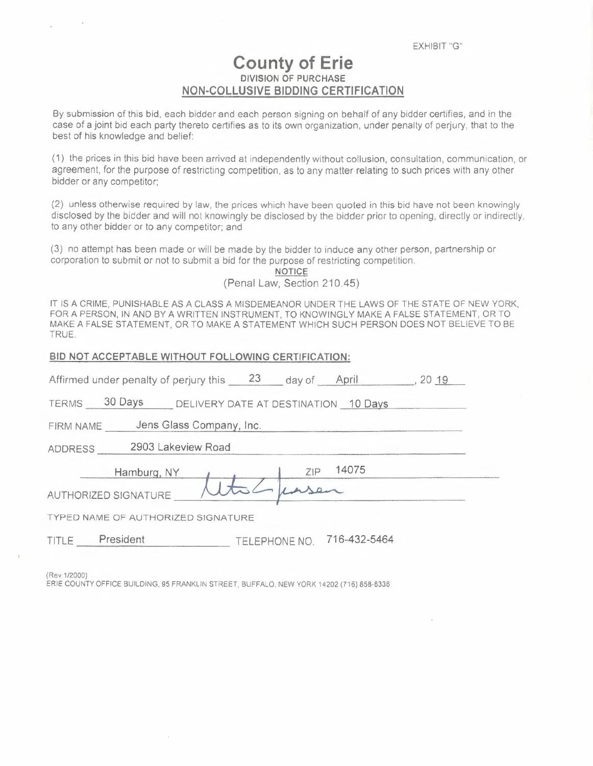# **County of Erie DIVISION OF PURCHASE NON-COLLUSIVE BIDDING CERTIFICATION**

By submission of this bid, each bidder and each person signing on behalf of any bidder certifies, and in the case of a joint bid each party thereto certifies as to its own organization, under penalty of perjury, that to the best of his knowledge and belief:

(1) the prices in this bid have been arrived at independently without collusion, consultation, communication, or agreement, for the purpose of restricting competition, as to any matter relating to such prices with any other bidder or any competitor:

(2) unless otherwise required by law, the prices which have been quoted in this bid have not been knowingly disclosed by the bidder and will not knowingly be disclosed by the bidder prior to opening, directly or indirectly, to any other bidder or to any competitor; and

(3) no attempt has been made or will be made by the bidder to induce any other person, partnership or corporation to submit or not to submit a bid for the purpose of restricting competition.

**NOTICE**  (Penal Law, Section 210.45)

IT IS A CRIME, PUNISHABLE AS A CLASS A MISDEMEANOR UNDER THE LAWS OF THE STATE OF NEW YORK, FOR A PERSON, IN AND BY A WRITTEN INSTRUMENT, TO KNOWINGLY MAKE A FALSE STATEMENT, OR TO MAKE A FALSE STATEMENT, OR TO MAKE A STATEMENT WHICH SUCH PERSON DOES NOT BELIEVE TO BE TRUE.

| BID NOT ACCEPTABLE WITHOUT FOLLOWING CERTIFICATION:          |  |  |  |  |  |  |  |
|--------------------------------------------------------------|--|--|--|--|--|--|--|
| Affirmed under penalty of perjury this 23 day of April 20 19 |  |  |  |  |  |  |  |
| TERMS 30 Days DELIVERY DATE AT DESTINATION 10 Days           |  |  |  |  |  |  |  |
| FIRM NAME Jens Glass Company, Inc.                           |  |  |  |  |  |  |  |
| ADDRESS 2903 Lakeview Road                                   |  |  |  |  |  |  |  |
| ZIP 14075<br>Hamburg, NY                                     |  |  |  |  |  |  |  |
| AUTHORIZED SIGNATURE                                         |  |  |  |  |  |  |  |
| <b>TYPED NAME OF AUTHORIZED SIGNATURE</b>                    |  |  |  |  |  |  |  |
| TELEPHONE NO. 716-432-5464<br>TITLE President                |  |  |  |  |  |  |  |

(Rev.1/2000)

ERIE COUNTY OFFICE BUILDING, 95 FRANKLIN STREET. BUFFALO, NEW YORK 14202 {716) 858-6336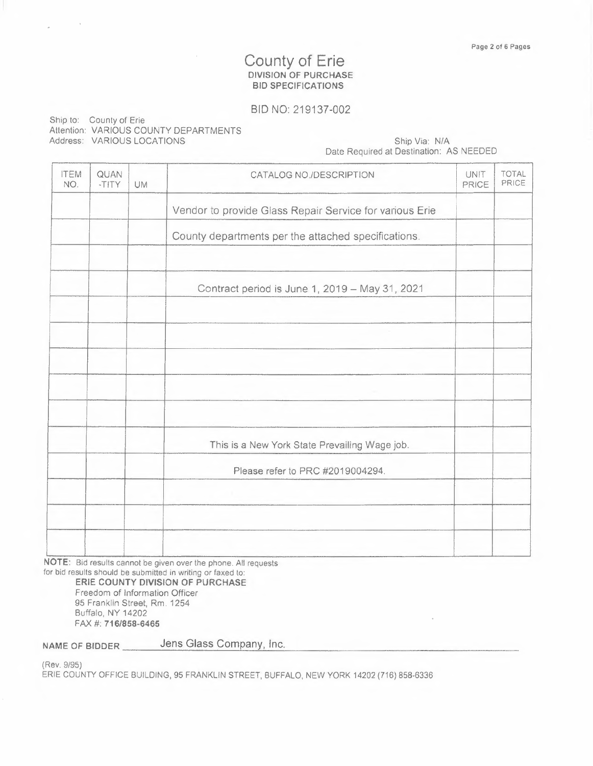# County of Erie **DIVISION OF PURCHASE BID SPECIFICATIONS**

## BID NO: 219137-002

| Ship to: County of Erie               |
|---------------------------------------|
| Attention: VARIOUS COUNTY DEPARTMENTS |
| Address: VARIOUS LOCATIONS            |

## Ship Via: N/A Date Required at Destination: AS NEEDED

| <b>ITEM</b><br>NO. | QUAN<br>-TITY | <b>UM</b> | CATALOG NO./DESCRIPTION                                 | UNIT<br>PRICE | <b>TOTAL</b><br>PRICE |
|--------------------|---------------|-----------|---------------------------------------------------------|---------------|-----------------------|
|                    |               |           | Vendor to provide Glass Repair Service for various Erie |               |                       |
|                    |               |           | County departments per the attached specifications.     |               |                       |
|                    |               |           |                                                         |               |                       |
|                    |               |           | Contract period is June 1, 2019 - May 31, 2021          |               |                       |
|                    |               |           |                                                         |               |                       |
|                    |               |           |                                                         |               |                       |
|                    |               |           |                                                         |               |                       |
|                    |               |           |                                                         |               |                       |
|                    |               |           | This is a New York State Prevailing Wage job.           |               |                       |
|                    |               |           | Please refer to PRC #2019004294.                        |               |                       |
|                    |               |           |                                                         |               |                       |
|                    |               |           |                                                         |               |                       |
|                    |               |           |                                                         |               |                       |

**NOTE:** Bid results cannot be given over the phone. All requests for bid results should be submitted in writing or faxed to:

**ERIE COUNTY DIVISION OF PURCHASE**  Freedom of Information Officer 95 Franklin Street, Rm. 1254 Buffalo, NY 14202 FAX#: **716/858-6465** 

**NAME OF BIDDER** Jens Glass Company, Inc.

{Rev. 9/95)

ERIE COUNTY OFFICE BUILDING, 95 FRANKLIN STREET, BUFFALO, NEW YORK 14202 (716) 858-6336